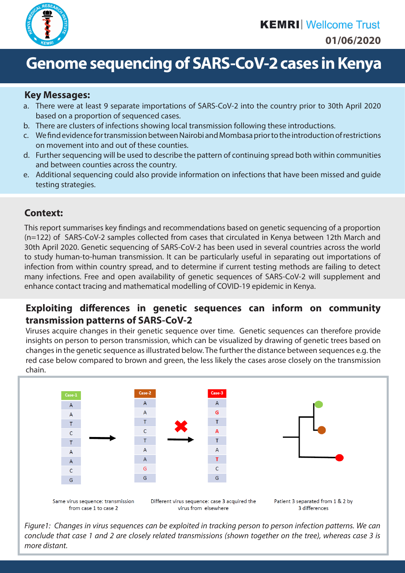

# **Genome sequencing of SARS-CoV-2 cases in Kenya**

#### **Key Messages:**

- a. There were at least 9 separate importations of SARS-CoV-2 into the country prior to 30th April 2020 based on a proportion of sequenced cases.
- b. There are clusters of infections showing local transmission following these introductions.
- c. We find evidence for transmission between Nairobi and Mombasa prior to the introduction of restrictions on movement into and out of these counties.
- d. Further sequencing will be used to describe the pattern of continuing spread both within communities and between counties across the country.
- e. Additional sequencing could also provide information on infections that have been missed and guide testing strategies.

#### **Context:**

This report summarises key findings and recommendations based on genetic sequencing of a proportion (n=122) of SARS-CoV-2 samples collected from cases that circulated in Kenya between 12th March and 30th April 2020. Genetic sequencing of SARS-CoV-2 has been used in several countries across the world to study human-to-human transmission. It can be particularly useful in separating out importations of infection from within country spread, and to determine if current testing methods are failing to detect many infections. Free and open availability of genetic sequences of SARS-CoV-2 will supplement and enhance contact tracing and mathematical modelling of COVID-19 epidemic in Kenya.

#### **Exploiting differences in genetic sequences can inform on community transmission patterns of SARS-CoV-2**

Viruses acquire changes in their genetic sequence over time. Genetic sequences can therefore provide insights on person to person transmission, which can be visualized by drawing of genetic trees based on changes in the genetic sequence as illustrated below. The further the distance between sequences e.g. the red case below compared to brown and green, the less likely the cases arose closely on the transmission chain.



*Figure1: Changes in virus sequences can be exploited in tracking person to person infection patterns. We can conclude that case 1 and 2 are closely related transmissions (shown together on the tree), whereas case 3 is more distant.*